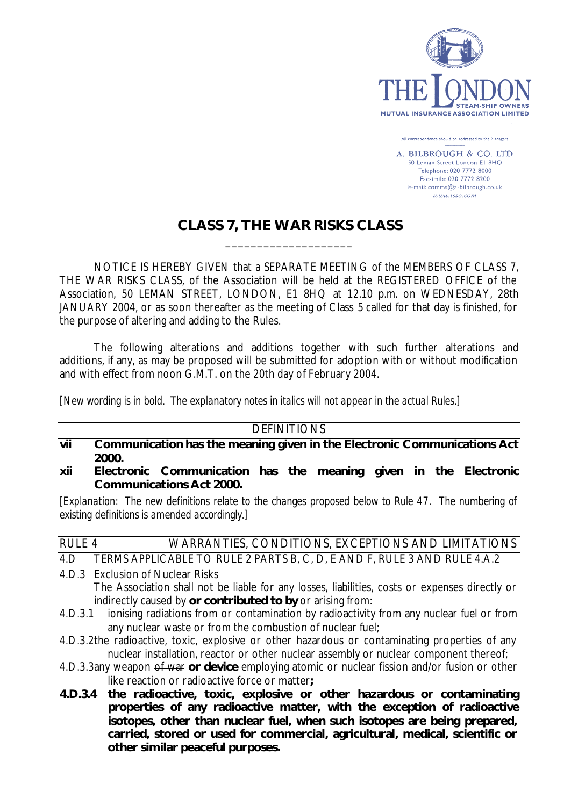

All correspondence should be addressed to the Managers

A. BILBROUGH & CO. LTD 50 Leman Street London El 8HQ Telephone: 020 7772 8000 Facsimile: 020 7772 8200 E-mail: comms@a-bilbrough.co.uk  $www. Isso.com$ 

# **CLASS 7, THE WAR RISKS CLASS** \_\_\_\_\_\_\_\_\_\_\_\_\_\_\_\_\_\_\_\_

NOTICE IS HEREBY GIVEN that a SEPARATE MEETING of the MEMBERS OF CLASS 7, THE WAR RISKS CLASS, of the Association will be held at the REGISTERED OFFICE of the Association, 50 LEMAN STREET, LONDON, E1 8HQ at 12.10 p.m. on WEDNESDAY, 28th JANUARY 2004, or as soon thereafter as the meeting of Class 5 called for that day is finished, for the purpose of altering and adding to the Rules.

The following alterations and additions together with such further alterations and additions, if any, as may be proposed will be submitted for adoption with or without modification and with effect from noon G.M.T. on the 20th day of February 2004.

*[New wording is in bold. The explanatory notes in italics will not appear in the actual Rules.]*

#### **DEFINITIONS**

- **vii Communication has the meaning given in the Electronic Communications Act 2000.**
- **xii Electronic Communication has the meaning given in the Electronic Communications Act 2000.**

*[Explanation: The new definitions relate to the changes proposed below to Rule 47. The numbering of existing definitions is amended accordingly.]*

## RULE 4 WARRANTIES, CONDITIONS, EXCEPTIONS AND LIMITATIONS 4.D TERMS APPLICABLE TO RULE 2 PARTS B, C, D, E AND F, RULE 3 AND RULE 4.A.2

- 4.D.3 Exclusion of Nuclear Risks The Association shall not be liable for any losses, liabilities, costs or expenses directly or indirectly caused by **or contributed to by** or arising from:
- 4.D.3.1 ionising radiations from or contamination by radioactivity from any nuclear fuel or from any nuclear waste or from the combustion of nuclear fuel;
- 4.D.3.2the radioactive, toxic, explosive or other hazardous or contaminating properties of any nuclear installation, reactor or other nuclear assembly or nuclear component thereof;
- 4.D.3.3any weapon of war **or device** employing atomic or nuclear fission and/or fusion or other like reaction or radioactive force or matter**;**
- **4.D.3.4 the radioactive, toxic, explosive or other hazardous or contaminating properties of any radioactive matter, with the exception of radioactive isotopes, other than nuclear fuel, when such isotopes are being prepared, carried, stored or used for commercial, agricultural, medical, scientific or other similar peaceful purposes.**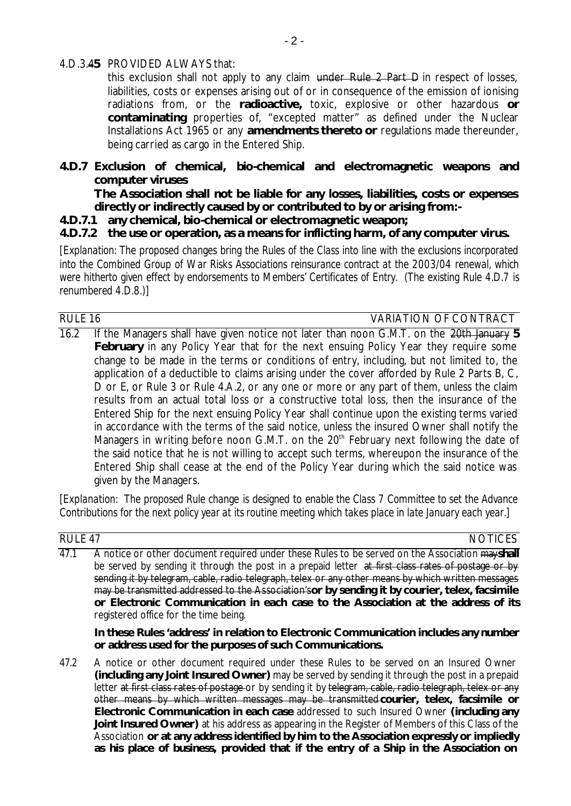#### 4.D.3.4**5** PROVIDED ALWAYS that:

this exclusion shall not apply to any claim under Rule 2 Part D in respect of losses, liabilities, costs or expenses arising out of or in consequence of the emission of ionising radiations from, or the **radioactive,** toxic, explosive or other hazardous **or contaminating** properties of, "excepted matter" as defined under the Nuclear Installations Act 1965 or any **amendments thereto or** regulations made thereunder, being carried as cargo in the Entered Ship.

## **4.D.7 Exclusion of chemical, bio-chemical and electromagnetic weapons and computer viruses**

**The Association shall not be liable for any losses, liabilities, costs or expenses directly or indirectly caused by or contributed to by or arising from:-**

#### **4.D.7.1 any chemical, bio-chemical or electromagnetic weapon;**

## **4.D.7.2 the use or operation, as a means for inflicting harm, of any computer virus.**

*[Explanation: The proposed changes bring the Rules of the Class into line with the exclusions incorporated into the Combined Group of War Risks Associations reinsurance contract at the 2003/04 renewal, which were hitherto given effect by endorsements to Members' Certificates of Entry. (The existing Rule 4.D.7 is renumbered 4.D.8.)]*

## RULE 16 VARIATION OF CONTRACT

16.2 If the Managers shall have given notice not later than noon G.M.T. on the 20th January **5 February** in any Policy Year that for the next ensuing Policy Year they require some change to be made in the terms or conditions of entry, including, but not limited to, the application of a deductible to claims arising under the cover afforded by Rule 2 Parts B, C, D or E, or Rule 3 or Rule 4.A.2, or any one or more or any part of them, unless the claim results from an actual total loss or a constructive total loss, then the insurance of the Entered Ship for the next ensuing Policy Year shall continue upon the existing terms varied in accordance with the terms of the said notice, unless the insured Owner shall notify the Managers in writing before noon G.M.T. on the  $20<sup>th</sup>$  February next following the date of the said notice that he is not willing to accept such terms, whereupon the insurance of the Entered Ship shall cease at the end of the Policy Year during which the said notice was given by the Managers.

*[Explanation: The proposed Rule change is designed to enable the Class 7 Committee to set the Advance Contributions for the next policy year at its routine meeting which takes place in late January each year.]*

| RULE 47 | <b>NOTICES</b>                                                                                                                                                                                                                                                                                                                                                                                                                                                                                                                              |
|---------|---------------------------------------------------------------------------------------------------------------------------------------------------------------------------------------------------------------------------------------------------------------------------------------------------------------------------------------------------------------------------------------------------------------------------------------------------------------------------------------------------------------------------------------------|
| 47.1    | A notice or other document required under these Rules to be served on the Association mayshall<br>be served by sending it through the post in a prepaid letter at first class rates of postage or by<br>sending it by telegram, cable, radio telegraph, telex or any other means by which written messages<br>may be transmitted addressed to the Association's or by sending it by courier, telex, facsimile<br>or Electronic Communication in each case to the Association at the address of its<br>registered office for the time being. |
|         | In these Rules 'address' in relation to Electronic Communication includes any number<br>or address used for the purposes of such Communications.                                                                                                                                                                                                                                                                                                                                                                                            |
| 47.2    | A notice or other document required under these Rules to be served on an Insured Owner<br>(including any Joint Insured Owner) may be served by sending it through the post in a prepaid<br>letter at first class rates of postage or by sending it by telegram, cable, radio telegraph, telex or any<br>other means by which written messages may be transmitted courier, telex, facsimile or<br>Electronic Communication in each case addressed to such Insured Owner (including any                                                       |

**Joint Insured Owner)** at his address as appearing in the Register of Members of this Class of the Association **or at any address identified by him to the Association expressly or impliedly as his place of business, provided that if the entry of a Ship in the Association on**